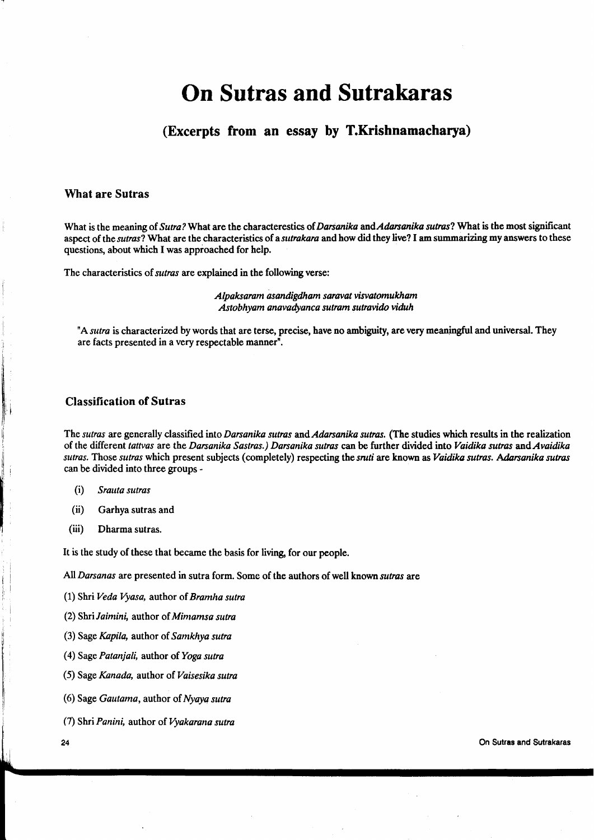# On Sutras and Sutrakaras

# (Excerpts from an essay by T.Krishnamacharya)

#### What are Sutras

What is the meaning of Sutra? What are the characterestics of Darsanika and Adarsanika sutras? What is the most significant aspect of the sutras? What are the characteristics of a sutrakara and how did they live? I am summarizing my answers to these questions, about which I was appioached for help.

The characteristics of *sutras* are explained in the following verse:

Alpaksaram as andigdham saravat visvatomukham Astobhyarn anavadyanca sutram sutravido viduh

"A sutra is characterized by words that are terse, precise, have no ambiguity, are very meaningful and universal. They are facts presented in a very respectable manner".

### **Classification of Sutras**

The sutras are generally classified into Darsanika sutras and Adarsanika sutras. (The studies which results in the realization of the different tattvas are the Darsanika Sastras.) Darsanika sutras can be further divided into Vaidika sutras and Avaidika sutras. Those sutras which present subjects (completely) respecting the sruti are known as Vaidika sutras. Adarsanika sutras can be divided into three groups -

- (i) Srauta sutras
- (ii) Garhya sutras and
- (iii) Dharma sutras.

It is the study of these that became the basis for living for our people.

All Darsanas are presented in sutra form. Some of the authors of well known sutras are

(1) Shri Veda Vyasa, author of Bramha sutra

(2) Shri Jaimini, author of Mimamsa sutra

- (3) Sage Kapila, author of Samkhya sutra
- (4) Sage Patanjali, author of Yoga sutra
- (5) Sage Kanada, author of Vaisesika sutra
- (6) Sage Gautama, author of Nyaya sutra
- (7) Shri Panini, author of Vyakarana sutra

24

On Sutras and Sutrakaras